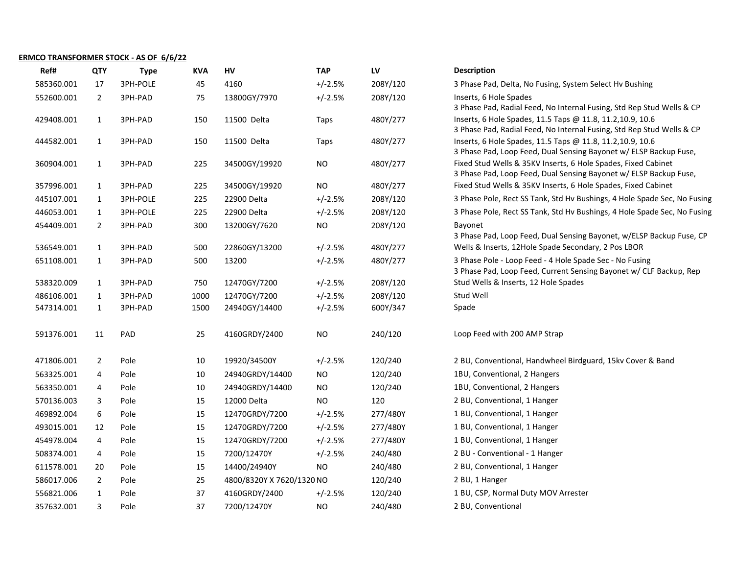## ERMCO TRANSFORMER STOCK - AS OF 6/6/22

| Ref#       | <b>QTY</b>     | <b>Type</b> | <b>KVA</b> | HV                        | <b>TAP</b> | LV       | <b>Description</b>                                                                                                                  |
|------------|----------------|-------------|------------|---------------------------|------------|----------|-------------------------------------------------------------------------------------------------------------------------------------|
| 585360.001 | 17             | 3PH-POLE    | 45         | 4160                      | $+/-2.5%$  | 208Y/120 | 3 Phase Pad, Delta, No Fusing, System Select Hv Bushing                                                                             |
| 552600.001 | $\overline{2}$ | 3PH-PAD     | 75         | 13800GY/7970              | $+/-2.5%$  | 208Y/120 | Inserts, 6 Hole Spades<br>3 Phase Pad, Radial Feed, No Internal Fusing, Std Rep Stud Wells & CP                                     |
| 429408.001 | $\mathbf{1}$   | 3PH-PAD     | 150        | 11500 Delta               | Taps       | 480Y/277 | Inserts, 6 Hole Spades, 11.5 Taps @ 11.8, 11.2, 10.9, 10.6<br>3 Phase Pad, Radial Feed, No Internal Fusing, Std Rep Stud Wells & CP |
| 444582.001 | $\mathbf{1}$   | 3PH-PAD     | 150        | 11500 Delta               | Taps       | 480Y/277 | Inserts, 6 Hole Spades, 11.5 Taps @ 11.8, 11.2, 10.9, 10.6<br>3 Phase Pad, Loop Feed, Dual Sensing Bayonet w/ ELSP Backup Fuse,     |
| 360904.001 | $\mathbf{1}$   | 3PH-PAD     | 225        | 34500GY/19920             | <b>NO</b>  | 480Y/277 | Fixed Stud Wells & 35KV Inserts, 6 Hole Spades, Fixed Cabinet<br>3 Phase Pad, Loop Feed, Dual Sensing Bayonet w/ ELSP Backup Fuse,  |
| 357996.001 | $\mathbf{1}$   | 3PH-PAD     | 225        | 34500GY/19920             | <b>NO</b>  | 480Y/277 | Fixed Stud Wells & 35KV Inserts, 6 Hole Spades, Fixed Cabinet                                                                       |
| 445107.001 | $\mathbf{1}$   | 3PH-POLE    | 225        | 22900 Delta               | $+/-2.5%$  | 208Y/120 | 3 Phase Pole, Rect SS Tank, Std Hv Bushings, 4 Hole Spade Sec, No Fusing                                                            |
| 446053.001 | $\mathbf{1}$   | 3PH-POLE    | 225        | 22900 Delta               | $+/-2.5%$  | 208Y/120 | 3 Phase Pole, Rect SS Tank, Std Hv Bushings, 4 Hole Spade Sec, No Fusing                                                            |
| 454409.001 | $\overline{2}$ | 3PH-PAD     | 300        | 13200GY/7620              | <b>NO</b>  | 208Y/120 | Bayonet<br>3 Phase Pad, Loop Feed, Dual Sensing Bayonet, w/ELSP Backup Fuse, CP                                                     |
| 536549.001 | $\mathbf{1}$   | 3PH-PAD     | 500        | 22860GY/13200             | $+/-2.5%$  | 480Y/277 | Wells & Inserts, 12Hole Spade Secondary, 2 Pos LBOR                                                                                 |
| 651108.001 | $\mathbf{1}$   | 3PH-PAD     | 500        | 13200                     | $+/-2.5%$  | 480Y/277 | 3 Phase Pole - Loop Feed - 4 Hole Spade Sec - No Fusing<br>3 Phase Pad, Loop Feed, Current Sensing Bayonet w/ CLF Backup, Rep       |
| 538320.009 | $\mathbf{1}$   | 3PH-PAD     | 750        | 12470GY/7200              | $+/-2.5%$  | 208Y/120 | Stud Wells & Inserts, 12 Hole Spades                                                                                                |
| 486106.001 | $\mathbf{1}$   | 3PH-PAD     | 1000       | 12470GY/7200              | $+/-2.5%$  | 208Y/120 | Stud Well                                                                                                                           |
| 547314.001 | $\mathbf{1}$   | 3PH-PAD     | 1500       | 24940GY/14400             | $+/-2.5%$  | 600Y/347 | Spade                                                                                                                               |
| 591376.001 | 11             | PAD         | 25         | 4160GRDY/2400             | <b>NO</b>  | 240/120  | Loop Feed with 200 AMP Strap                                                                                                        |
| 471806.001 | $\overline{2}$ | Pole        | 10         | 19920/34500Y              | $+/-2.5%$  | 120/240  | 2 BU, Conventional, Handwheel Birdguard, 15kv Cover & Band                                                                          |
| 563325.001 | 4              | Pole        | 10         | 24940GRDY/14400           | NO         | 120/240  | 1BU, Conventional, 2 Hangers                                                                                                        |
| 563350.001 | 4              | Pole        | 10         | 24940GRDY/14400           | <b>NO</b>  | 120/240  | 1BU, Conventional, 2 Hangers                                                                                                        |
| 570136.003 | 3              | Pole        | 15         | 12000 Delta               | <b>NO</b>  | 120      | 2 BU, Conventional, 1 Hanger                                                                                                        |
| 469892.004 | 6              | Pole        | 15         | 12470GRDY/7200            | $+/-2.5%$  | 277/480Y | 1 BU, Conventional, 1 Hanger                                                                                                        |
| 493015.001 | 12             | Pole        | 15         | 12470GRDY/7200            | $+/-2.5%$  | 277/480Y | 1 BU, Conventional, 1 Hanger                                                                                                        |
| 454978.004 | 4              | Pole        | 15         | 12470GRDY/7200            | $+/-2.5%$  | 277/480Y | 1 BU, Conventional, 1 Hanger                                                                                                        |
| 508374.001 | 4              | Pole        | 15         | 7200/12470Y               | $+/-2.5%$  | 240/480  | 2 BU - Conventional - 1 Hanger                                                                                                      |
| 611578.001 | 20             | Pole        | 15         | 14400/24940Y              | NO         | 240/480  | 2 BU, Conventional, 1 Hanger                                                                                                        |
| 586017.006 | $\overline{2}$ | Pole        | 25         | 4800/8320Y X 7620/1320 NO |            | 120/240  | 2 BU, 1 Hanger                                                                                                                      |
| 556821.006 | $\mathbf{1}$   | Pole        | 37         | 4160GRDY/2400             | $+/-2.5%$  | 120/240  | 1 BU, CSP, Normal Duty MOV Arrester                                                                                                 |
| 357632.001 | 3              | Pole        | 37         | 7200/12470Y               | <b>NO</b>  | 240/480  | 2 BU, Conventional                                                                                                                  |